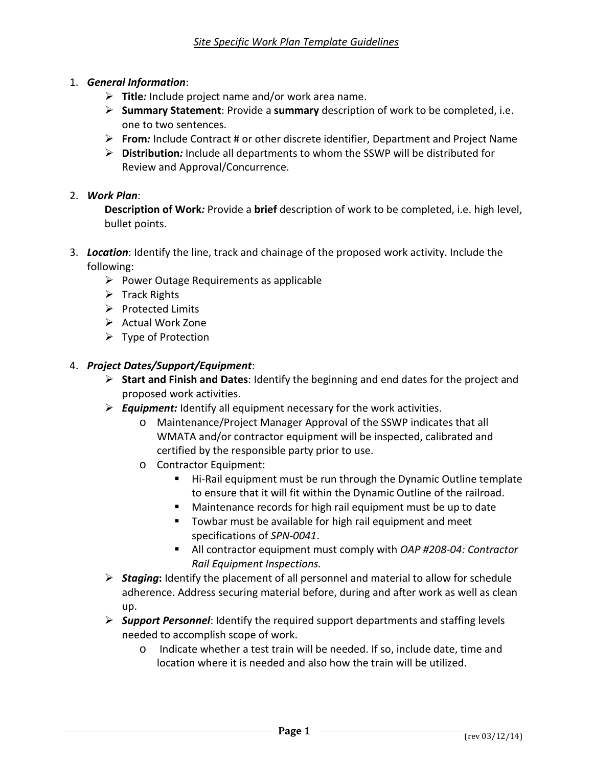- 1. *General Information*:
	- **Title***:* Include project name and/or work area name.
	- **Summary Statement**: Provide a **summary** description of work to be completed, i.e. one to two sentences.
	- **From***:* Include Contract # or other discrete identifier, Department and Project Name
	- **Distribution***:* Include all departments to whom the SSWP will be distributed for Review and Approval/Concurrence.

### 2. *Work Plan*:

**Description of Work***:* Provide a **brief** description of work to be completed, i.e. high level, bullet points.

- 3. *Location*: Identify the line, track and chainage of the proposed work activity. Include the following:
	- Power Outage Requirements as applicable
	- $\triangleright$  Track Rights
	- $\triangleright$  Protected Limits
	- $\triangleright$  Actual Work Zone
	- $\triangleright$  Type of Protection

### 4. *Project Dates/Support/Equipment*:

- **Start and Finish and Dates**: Identify the beginning and end dates for the project and proposed work activities.
- *Equipment:* Identify all equipment necessary for the work activities.
	- o Maintenance/Project Manager Approval of the SSWP indicates that all WMATA and/or contractor equipment will be inspected, calibrated and certified by the responsible party prior to use.
	- o Contractor Equipment:
		- Hi-Rail equipment must be run through the Dynamic Outline template to ensure that it will fit within the Dynamic Outline of the railroad.
		- Maintenance records for high rail equipment must be up to date
		- **Towbar must be available for high rail equipment and meet** specifications of *SPN-0041*.
		- All contractor equipment must comply with *OAP #208-04: Contractor Rail Equipment Inspections.*
- *Staging***:** Identify the placement of all personnel and material to allow for schedule adherence. Address securing material before, during and after work as well as clean up.
- *Support Personnel*: Identify the required support departments and staffing levels needed to accomplish scope of work.
	- o Indicate whether a test train will be needed. If so, include date, time and location where it is needed and also how the train will be utilized.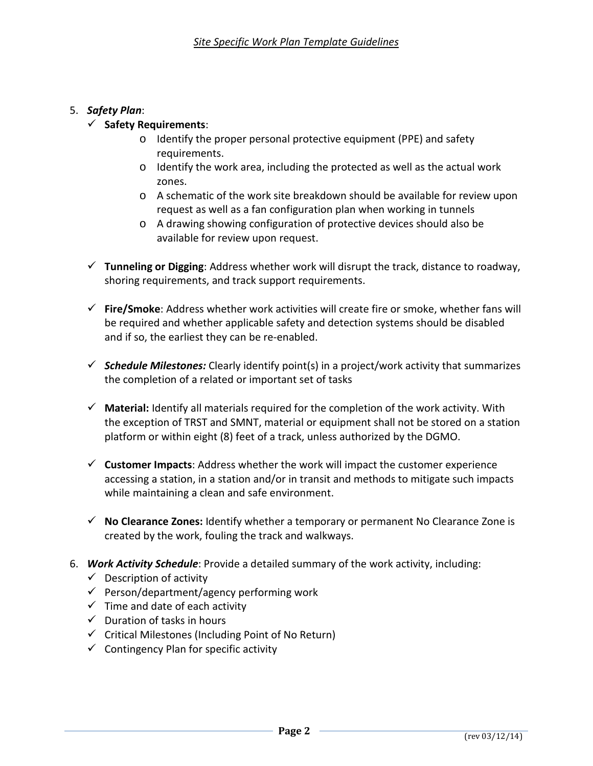## 5. *Safety Plan*:

## **Safety Requirements**:

- o Identify the proper personal protective equipment (PPE) and safety requirements.
- o Identify the work area, including the protected as well as the actual work zones.
- o A schematic of the work site breakdown should be available for review upon request as well as a fan configuration plan when working in tunnels
- o A drawing showing configuration of protective devices should also be available for review upon request.
- **Tunneling or Digging**: Address whether work will disrupt the track, distance to roadway, shoring requirements, and track support requirements.
- **Fire/Smoke**: Address whether work activities will create fire or smoke, whether fans will be required and whether applicable safety and detection systems should be disabled and if so, the earliest they can be re-enabled.
- *Schedule Milestones:* Clearly identify point(s) in a project/work activity that summarizes the completion of a related or important set of tasks
- **Material:** Identify all materials required for the completion of the work activity. With the exception of TRST and SMNT, material or equipment shall not be stored on a station platform or within eight (8) feet of a track, unless authorized by the DGMO.
- **Customer Impacts**: Address whether the work will impact the customer experience accessing a station, in a station and/or in transit and methods to mitigate such impacts while maintaining a clean and safe environment.
- **No Clearance Zones:** Identify whether a temporary or permanent No Clearance Zone is created by the work, fouling the track and walkways.
- 6. *Work Activity Schedule*: Provide a detailed summary of the work activity, including:
	- $\checkmark$  Description of activity
	- $\checkmark$  Person/department/agency performing work
	- $\checkmark$  Time and date of each activity
	- $\checkmark$  Duration of tasks in hours
	- $\checkmark$  Critical Milestones (Including Point of No Return)
	- $\checkmark$  Contingency Plan for specific activity